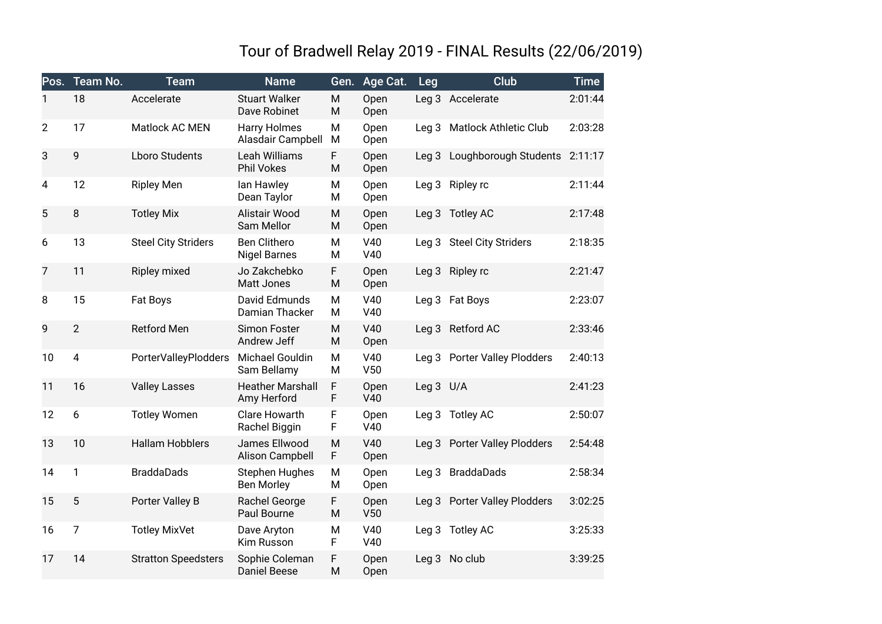## Tour of Bradwell Relay 2019 - FINAL Results (22/06/2019)

| Pos.           | Team No.       | <b>Team</b>                 | <b>Name</b>                                | Gen.   | Age Cat.     | Leg              | <b>Club</b>                   | <b>Time</b> |
|----------------|----------------|-----------------------------|--------------------------------------------|--------|--------------|------------------|-------------------------------|-------------|
| 1              | 18             | Accelerate                  | <b>Stuart Walker</b><br>Dave Robinet       | M<br>M | Open<br>Open |                  | Leg 3 Accelerate              | 2:01:44     |
| $\overline{2}$ | 17             | Matlock AC MEN              | <b>Harry Holmes</b><br>Alasdair Campbell   | M<br>M | Open<br>Open | Leg <sub>3</sub> | Matlock Athletic Club         | 2:03:28     |
| 3              | 9              | <b>Lboro Students</b>       | Leah Williams<br>Phil Vokes                | F<br>M | Open<br>Open | Leg <sub>3</sub> | Loughborough Students         | 2:11:17     |
| 4              | 12             | <b>Ripley Men</b>           | lan Hawley<br>Dean Taylor                  | M<br>М | Open<br>Open | Leg <sub>3</sub> | Ripley rc                     | 2:11:44     |
| 5              | $\,8\,$        | <b>Totley Mix</b>           | Alistair Wood<br>Sam Mellor                | M<br>M | Open<br>Open |                  | Leg 3 Totley AC               | 2:17:48     |
| 6              | 13             | <b>Steel City Striders</b>  | <b>Ben Clithero</b><br><b>Nigel Barnes</b> | M<br>M | V40<br>V40   |                  | Leg 3 Steel City Striders     | 2:18:35     |
| 7              | 11             | Ripley mixed                | Jo Zakchebko<br>Matt Jones                 | F<br>M | Open<br>Open |                  | Leg 3 Ripley rc               | 2:21:47     |
| 8              | 15             | Fat Boys                    | David Edmunds<br>Damian Thacker            | M<br>M | V40<br>V40   |                  | Leg 3 Fat Boys                | 2:23:07     |
| 9              | $\overline{2}$ | <b>Retford Men</b>          | Simon Foster<br>Andrew Jeff                | M<br>M | V40<br>Open  |                  | Leg 3 Retford AC              | 2:33:46     |
| 10             | 4              | <b>PorterValleyPlodders</b> | Michael Gouldin<br>Sam Bellamy             | M<br>M | V40<br>V50   | Leg 3            | <b>Porter Valley Plodders</b> | 2:40:13     |
| 11             | 16             | <b>Valley Lasses</b>        | <b>Heather Marshall</b><br>Amy Herford     | F<br>F | Open<br>V40  | Leg 3 U/A        |                               | 2:41:23     |
| 12             | 6              | <b>Totley Women</b>         | <b>Clare Howarth</b><br>Rachel Biggin      | F<br>F | Open<br>V40  |                  | Leg 3 Totley AC               | 2:50:07     |
| 13             | 10             | <b>Hallam Hobblers</b>      | James Ellwood<br>Alison Campbell           | M<br>F | V40<br>Open  | Leq <sub>3</sub> | <b>Porter Valley Plodders</b> | 2:54:48     |
| 14             | 1              | <b>BraddaDads</b>           | Stephen Hughes<br><b>Ben Morley</b>        | M<br>M | Open<br>Open | Leg <sub>3</sub> | <b>BraddaDads</b>             | 2:58:34     |
| 15             | 5              | Porter Valley B             | Rachel George<br>Paul Bourne               | F<br>M | Open<br>V50  | Leg <sub>3</sub> | <b>Porter Valley Plodders</b> | 3:02:25     |
| 16             | $\overline{7}$ | <b>Totley MixVet</b>        | Dave Aryton<br>Kim Russon                  | M<br>F | V40<br>V40   |                  | Leg 3 Totley AC               | 3:25:33     |
| 17             | 14             | <b>Stratton Speedsters</b>  | Sophie Coleman<br>Daniel Beese             | F<br>M | Open<br>Open | Leg <sub>3</sub> | No club                       | 3:39:25     |